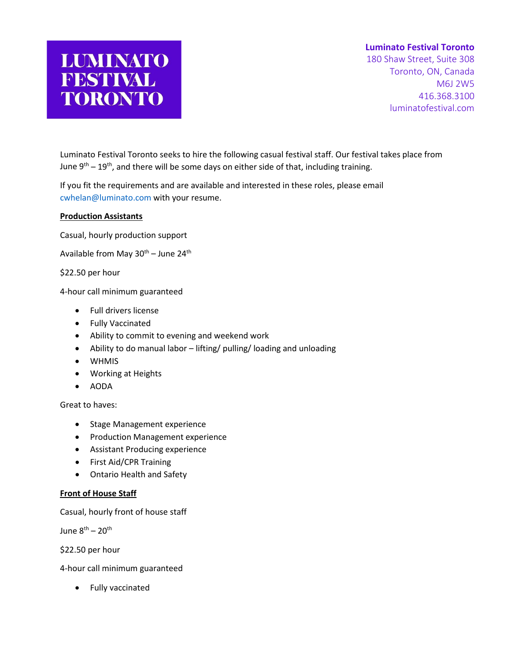## **Luminato Festival Toronto**

180 Shaw Street, Suite 308 Toronto, ON, Canada M6J 2W5 416.368.3100 luminatofestival.com

Luminato Festival Toronto seeks to hire the following casual festival staff. Our festival takes place from June  $9<sup>th</sup> - 19<sup>th</sup>$ , and there will be some days on either side of that, including training.

If you fit the requirements and are available and interested in these roles, please email [cwhelan@luminato.com](mailto:cwhelan@luminato.com) with your resume.

## **Production Assistants**

Casual, hourly production support

**LUMINATO** 

FESTIVAL

**TORONTO** 

Available from May  $30^{th}$  – June  $24^{th}$ 

\$22.50 per hour

4-hour call minimum guaranteed

- Full drivers license
- Fully Vaccinated
- Ability to commit to evening and weekend work
- Ability to do manual labor lifting/ pulling/ loading and unloading
- WHMIS
- Working at Heights
- AODA

Great to haves:

- Stage Management experience
- Production Management experience
- Assistant Producing experience
- First Aid/CPR Training
- Ontario Health and Safety

## **Front of House Staff**

Casual, hourly front of house staff

June  $8^{th}$  – 20<sup>th</sup>

\$22.50 per hour

4-hour call minimum guaranteed

• Fully vaccinated